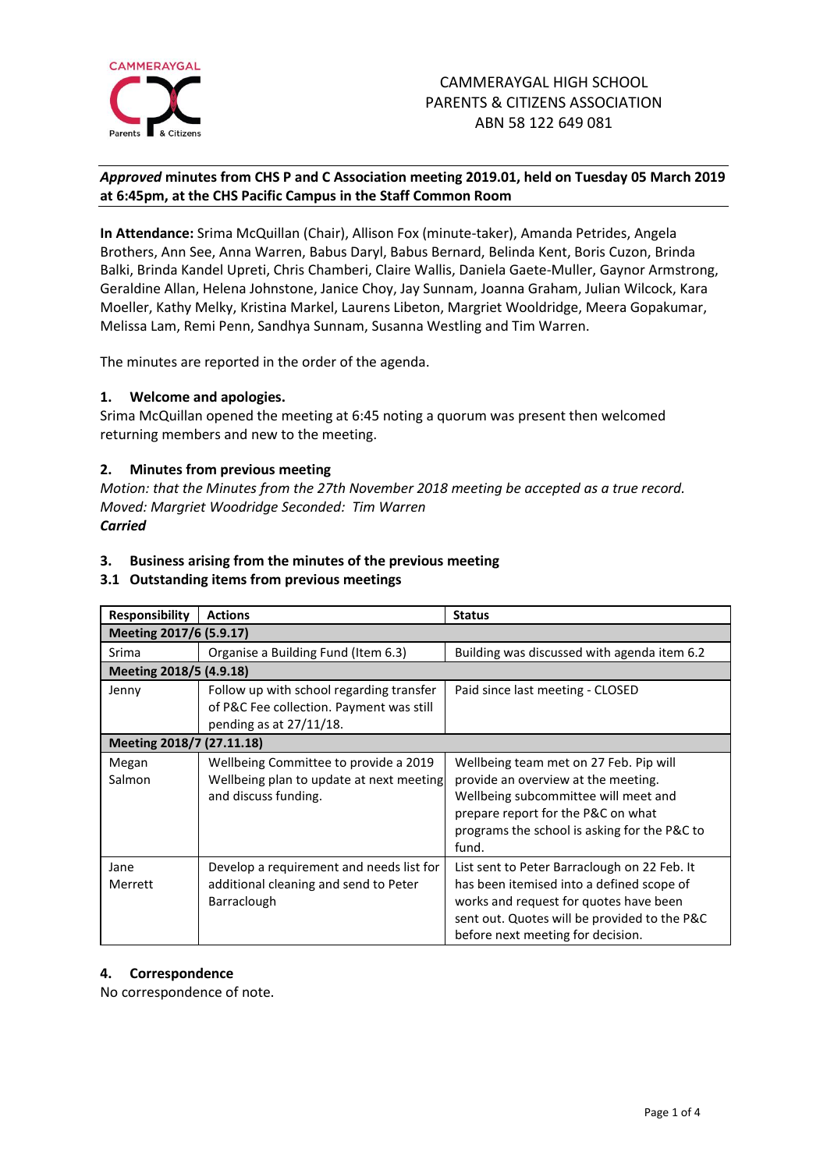

# *Approved* **minutes from CHS P and C Association meeting 2019.01, held on Tuesday 05 March 2019 at 6:45pm, at the CHS Pacific Campus in the Staff Common Room**

**In Attendance:** Srima McQuillan (Chair), Allison Fox (minute-taker), Amanda Petrides, Angela Brothers, Ann See, Anna Warren, Babus Daryl, Babus Bernard, Belinda Kent, Boris Cuzon, Brinda Balki, Brinda Kandel Upreti, Chris Chamberi, Claire Wallis, Daniela Gaete-Muller, Gaynor Armstrong, Geraldine Allan, Helena Johnstone, Janice Choy, Jay Sunnam, Joanna Graham, Julian Wilcock, Kara Moeller, Kathy Melky, Kristina Markel, Laurens Libeton, Margriet Wooldridge, Meera Gopakumar, Melissa Lam, Remi Penn, Sandhya Sunnam, Susanna Westling and Tim Warren.

The minutes are reported in the order of the agenda.

# **1. Welcome and apologies.**

Srima McQuillan opened the meeting at 6:45 noting a quorum was present then welcomed returning members and new to the meeting.

# **2. Minutes from previous meeting**

*Motion: that the Minutes from the 27th November 2018 meeting be accepted as a true record. Moved: Margriet Woodridge Seconded: Tim Warren Carried*

# **3. Business arising from the minutes of the previous meeting**

# **3.1 Outstanding items from previous meetings**

| <b>Responsibility</b>     | <b>Actions</b>                                                                                                     | <b>Status</b>                                                                                                                                                                                                            |  |  |  |
|---------------------------|--------------------------------------------------------------------------------------------------------------------|--------------------------------------------------------------------------------------------------------------------------------------------------------------------------------------------------------------------------|--|--|--|
| Meeting 2017/6 (5.9.17)   |                                                                                                                    |                                                                                                                                                                                                                          |  |  |  |
| Srima                     | Organise a Building Fund (Item 6.3)                                                                                | Building was discussed with agenda item 6.2                                                                                                                                                                              |  |  |  |
| Meeting 2018/5 (4.9.18)   |                                                                                                                    |                                                                                                                                                                                                                          |  |  |  |
| Jenny                     | Follow up with school regarding transfer<br>of P&C Fee collection. Payment was still<br>pending as at $27/11/18$ . | Paid since last meeting - CLOSED                                                                                                                                                                                         |  |  |  |
| Meeting 2018/7 (27.11.18) |                                                                                                                    |                                                                                                                                                                                                                          |  |  |  |
| Megan<br>Salmon           | Wellbeing Committee to provide a 2019<br>Wellbeing plan to update at next meeting<br>and discuss funding.          | Wellbeing team met on 27 Feb. Pip will<br>provide an overview at the meeting.<br>Wellbeing subcommittee will meet and<br>prepare report for the P&C on what<br>programs the school is asking for the P&C to<br>fund.     |  |  |  |
| Jane<br>Merrett           | Develop a requirement and needs list for<br>additional cleaning and send to Peter<br>Barraclough                   | List sent to Peter Barraclough on 22 Feb. It<br>has been itemised into a defined scope of<br>works and request for quotes have been<br>sent out. Quotes will be provided to the P&C<br>before next meeting for decision. |  |  |  |

# **4. Correspondence**

No correspondence of note.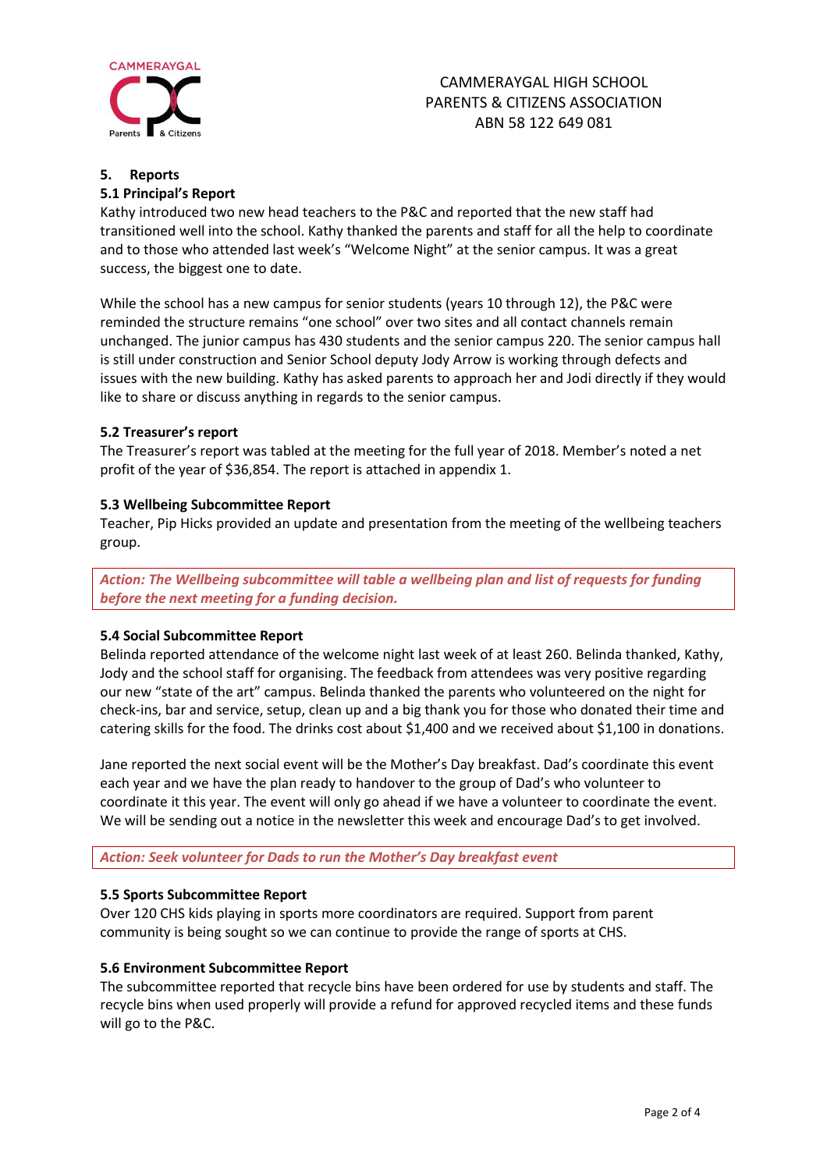

# **5. Reports**

# **5.1 Principal's Report**

Kathy introduced two new head teachers to the P&C and reported that the new staff had transitioned well into the school. Kathy thanked the parents and staff for all the help to coordinate and to those who attended last week's "Welcome Night" at the senior campus. It was a great success, the biggest one to date.

While the school has a new campus for senior students (years 10 through 12), the P&C were reminded the structure remains "one school" over two sites and all contact channels remain unchanged. The junior campus has 430 students and the senior campus 220. The senior campus hall is still under construction and Senior School deputy Jody Arrow is working through defects and issues with the new building. Kathy has asked parents to approach her and Jodi directly if they would like to share or discuss anything in regards to the senior campus.

# **5.2 Treasurer's report**

The Treasurer's report was tabled at the meeting for the full year of 2018. Member's noted a net profit of the year of \$36,854. The report is attached in appendix 1.

# **5.3 Wellbeing Subcommittee Report**

Teacher, Pip Hicks provided an update and presentation from the meeting of the wellbeing teachers group.

*Action: The Wellbeing subcommittee will table a wellbeing plan and list of requests for funding before the next meeting for a funding decision.*

# **5.4 Social Subcommittee Report**

Belinda reported attendance of the welcome night last week of at least 260. Belinda thanked, Kathy, Jody and the school staff for organising. The feedback from attendees was very positive regarding our new "state of the art" campus. Belinda thanked the parents who volunteered on the night for check-ins, bar and service, setup, clean up and a big thank you for those who donated their time and catering skills for the food. The drinks cost about \$1,400 and we received about \$1,100 in donations.

Jane reported the next social event will be the Mother's Day breakfast. Dad's coordinate this event each year and we have the plan ready to handover to the group of Dad's who volunteer to coordinate it this year. The event will only go ahead if we have a volunteer to coordinate the event. We will be sending out a notice in the newsletter this week and encourage Dad's to get involved.

*Action: Seek volunteer for Dads to run the Mother's Day breakfast event*

# **5.5 Sports Subcommittee Report**

Over 120 CHS kids playing in sports more coordinators are required. Support from parent community is being sought so we can continue to provide the range of sports at CHS.

# **5.6 Environment Subcommittee Report**

The subcommittee reported that recycle bins have been ordered for use by students and staff. The recycle bins when used properly will provide a refund for approved recycled items and these funds will go to the P&C.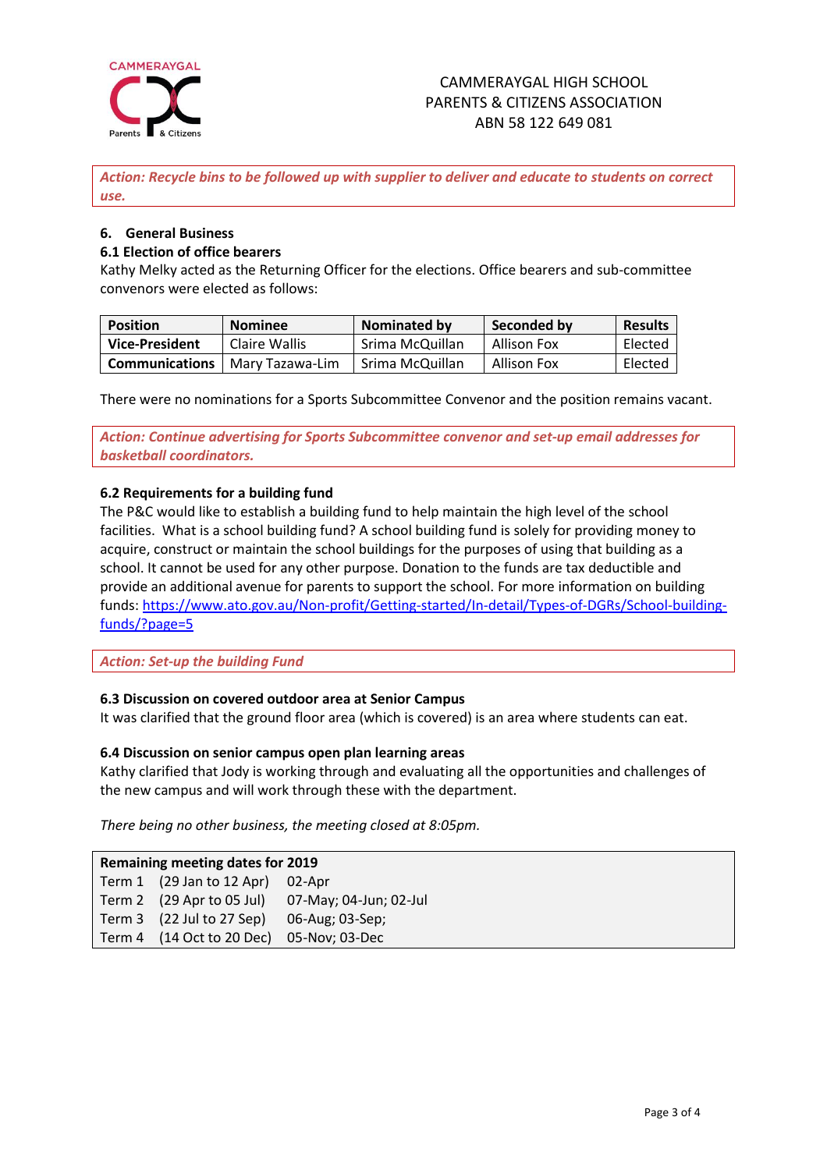

*Action: Recycle bins to be followed up with supplier to deliver and educate to students on correct use.*

# **6. General Business**

# **6.1 Election of office bearers**

Kathy Melky acted as the Returning Officer for the elections. Office bearers and sub-committee convenors were elected as follows:

| <b>Position</b>       | <b>Nominee</b>  | Nominated by    | Seconded by        | <b>Results</b> |
|-----------------------|-----------------|-----------------|--------------------|----------------|
| Vice-President        | Claire Wallis   | Srima McQuillan | Allison Fox        | Elected        |
| <b>Communications</b> | Mary Tazawa-Lim | Srima McQuillan | <b>Allison Fox</b> | Elected        |

There were no nominations for a Sports Subcommittee Convenor and the position remains vacant.

*Action: Continue advertising for Sports Subcommittee convenor and set-up email addresses for basketball coordinators.*

# **6.2 Requirements for a building fund**

The P&C would like to establish a building fund to help maintain the high level of the school facilities. What is a school building fund? A school building fund is solely for providing money to acquire, construct or maintain the school buildings for the purposes of using that building as a school. It cannot be used for any other purpose. Donation to the funds are tax deductible and provide an additional avenue for parents to support the school. For more information on building funds: [https://www.ato.gov.au/Non-profit/Getting-started/In-detail/Types-of-DGRs/School-building](https://www.ato.gov.au/Non-profit/Getting-started/In-detail/Types-of-DGRs/School-building-funds/?page=5)[funds/?page=5](https://www.ato.gov.au/Non-profit/Getting-started/In-detail/Types-of-DGRs/School-building-funds/?page=5)

*Action: Set-up the building Fund*

# **6.3 Discussion on covered outdoor area at Senior Campus**

It was clarified that the ground floor area (which is covered) is an area where students can eat.

# **6.4 Discussion on senior campus open plan learning areas**

Kathy clarified that Jody is working through and evaluating all the opportunities and challenges of the new campus and will work through these with the department.

*There being no other business, the meeting closed at 8:05pm.*

| <b>Remaining meeting dates for 2019</b> |                                          |                                                  |  |  |
|-----------------------------------------|------------------------------------------|--------------------------------------------------|--|--|
|                                         | Term 1 (29 Jan to 12 Apr) 02-Apr         |                                                  |  |  |
|                                         |                                          | Term 2 (29 Apr to 05 Jul) 07-May; 04-Jun; 02-Jul |  |  |
|                                         | $\sqrt{22}$ Jul to 27 Sep)               | 06-Aug; 03-Sep;                                  |  |  |
|                                         | Term 4 (14 Oct to 20 Dec) 05-Nov; 03-Dec |                                                  |  |  |